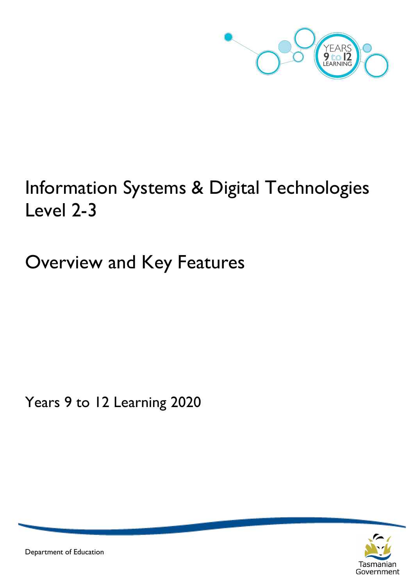

# Information Systems & Digital Technologies Level 2-3

Overview and Key Features

Years 9 to 12 Learning 2020



Department of Education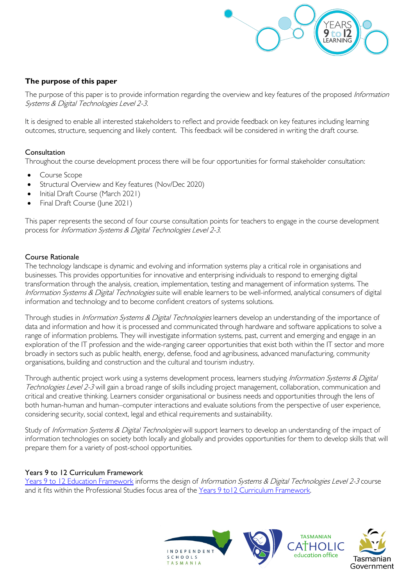

#### **The purpose of this paper**

The purpose of this paper is to provide information regarding the overview and key features of the proposed Information Systems & Digital Technologies Level 2-3.

It is designed to enable all interested stakeholders to reflect and provide feedback on key features including learning outcomes, structure, sequencing and likely content. This feedback will be considered in writing the draft course.

#### Consultation

Throughout the course development process there will be four opportunities for formal stakeholder consultation:

- Course Scope
- Structural Overview and Key features (Nov/Dec 2020)
- Initial Draft Course (March 2021)
- Final Draft Course (June 2021)

This paper represents the second of four course consultation points for teachers to engage in the course development process for Information Systems & Digital Technologies Level 2-3.

#### Course Rationale

The technology landscape is dynamic and evolving and information systems play a critical role in organisations and businesses. This provides opportunities for innovative and enterprising individuals to respond to emerging digital transformation through the analysis, creation, implementation, testing and management of information systems. The Information Systems & Digital Technologies suite will enable learners to be well-informed, analytical consumers of digital information and technology and to become confident creators of systems solutions.

Through studies in *Information Systems & Digital Technologies* learners develop an understanding of the importance of data and information and how it is processed and communicated through hardware and software applications to solve a range of information problems. They will investigate information systems, past, current and emerging and engage in an exploration of the IT profession and the wide-ranging career opportunities that exist both within the IT sector and more broadly in sectors such as public health, energy, defense, food and agribusiness, advanced manufacturing, community organisations, building and construction and the cultural and tourism industry.

Through authentic project work using a systems development process, learners studying Information Systems & Digital Technologies Level 2-3 will gain a broad range of skills including project management, collaboration, communication and critical and creative thinking. Learners consider organisational or business needs and opportunities through the lens of both human-human and human–computer interactions and evaluate solutions from the perspective of user experience, considering security, social context, legal and ethical requirements and sustainability.

Study of Information Systems & Digital Technologies will support learners to develop an understanding of the impact of information technologies on society both locally and globally and provides opportunities for them to develop skills that will prepare them for a variety of post-school opportunities.

#### Years 9 to 12 Curriculum Framework

[Years 9 to 12 Education Framework](https://publicdocumentcentre.education.tas.gov.au/library/Shared%20Documents/Years-9-to-12-Education-Framework.pdf) informs the design of Information Systems & Digital Technologies Level 2-3 course and it fits within the Professional Studies focus area of the Years 9 to12 Curriculum Framework.

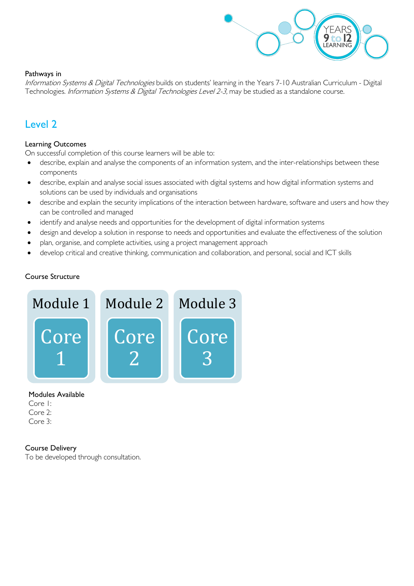

#### Pathways in

Information Systems & Digital Technologies builds on students' learning in the Years 7-10 Australian Curriculum - Digital Technologies. Information Systems & Digital Technologies Level 2-3, may be studied as a standalone course.

### Level 2

#### Learning Outcomes

On successful completion of this course learners will be able to:

- describe, explain and analyse the components of an information system, and the inter-relationships between these components
- describe, explain and analyse social issues associated with digital systems and how digital information systems and solutions can be used by individuals and organisations
- describe and explain the security implications of the interaction between hardware, software and users and how they can be controlled and managed
- identify and analyse needs and opportunities for the development of digital information systems
- design and develop a solution in response to needs and opportunities and evaluate the effectiveness of the solution
- plan, organise, and complete activities, using a project management approach
- develop critical and creative thinking, communication and collaboration, and personal, social and ICT skills

#### Course Structure



Modules Available

Core 1: Core 2: Core 3:

#### Course Delivery

To be developed through consultation.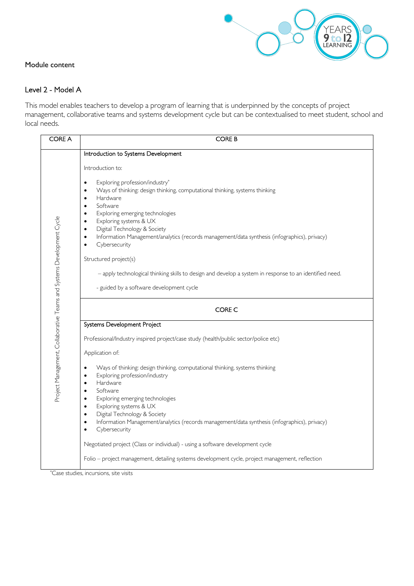

#### Module content

#### Level 2 - Model A

This model enables teachers to develop a program of learning that is underpinned by the concepts of project management, collaborative teams and systems development cycle but can be contextualised to meet student, school and local needs.

| <b>CORE A</b>                                                         | <b>CORE B</b>                                                                                                                                                                                                                                                                                                                                                                                                                                                                                     |  |  |  |  |
|-----------------------------------------------------------------------|---------------------------------------------------------------------------------------------------------------------------------------------------------------------------------------------------------------------------------------------------------------------------------------------------------------------------------------------------------------------------------------------------------------------------------------------------------------------------------------------------|--|--|--|--|
|                                                                       | Introduction to Systems Development                                                                                                                                                                                                                                                                                                                                                                                                                                                               |  |  |  |  |
|                                                                       | Introduction to:                                                                                                                                                                                                                                                                                                                                                                                                                                                                                  |  |  |  |  |
| Project Management, Collaborative Teams and Systems Development Cycle | Exploring profession/industry*<br>$\bullet$<br>Ways of thinking: design thinking, computational thinking, systems thinking<br>$\bullet$<br>Hardware<br>$\bullet$<br>Software<br>$\bullet$<br>Exploring emerging technologies<br>$\bullet$<br>Exploring systems & UX<br>$\bullet$<br>Digital Technology & Society<br>$\bullet$<br>Information Management/analytics (records management/data synthesis (infographics), privacy)<br>$\bullet$<br>Cybersecurity<br>$\bullet$<br>Structured project(s) |  |  |  |  |
|                                                                       | - apply technological thinking skills to design and develop a system in response to an identified need.<br>- guided by a software development cycle                                                                                                                                                                                                                                                                                                                                               |  |  |  |  |
|                                                                       |                                                                                                                                                                                                                                                                                                                                                                                                                                                                                                   |  |  |  |  |
|                                                                       | CORE C                                                                                                                                                                                                                                                                                                                                                                                                                                                                                            |  |  |  |  |
|                                                                       | Systems Development Project                                                                                                                                                                                                                                                                                                                                                                                                                                                                       |  |  |  |  |
|                                                                       | Professional/Industry inspired project/case study (health/public sector/police etc)                                                                                                                                                                                                                                                                                                                                                                                                               |  |  |  |  |
|                                                                       | Application of:                                                                                                                                                                                                                                                                                                                                                                                                                                                                                   |  |  |  |  |
|                                                                       | Ways of thinking: design thinking, computational thinking, systems thinking<br>$\bullet$<br>Exploring profession/industry<br>$\bullet$<br>Hardware<br>$\bullet$<br>Software<br>$\bullet$<br>Exploring emerging technologies<br>$\bullet$<br>Exploring systems & UX<br>$\bullet$<br>Digital Technology & Society<br>$\bullet$<br>Information Management/analytics (records management/data synthesis (infographics), privacy)<br>$\bullet$<br>Cybersecurity<br>$\bullet$                           |  |  |  |  |
|                                                                       | Negotiated project (Class or individual) - using a software development cycle                                                                                                                                                                                                                                                                                                                                                                                                                     |  |  |  |  |
|                                                                       | Folio - project management, detailing systems development cycle, project management, reflection<br>*Case studies, incursions, site visits                                                                                                                                                                                                                                                                                                                                                         |  |  |  |  |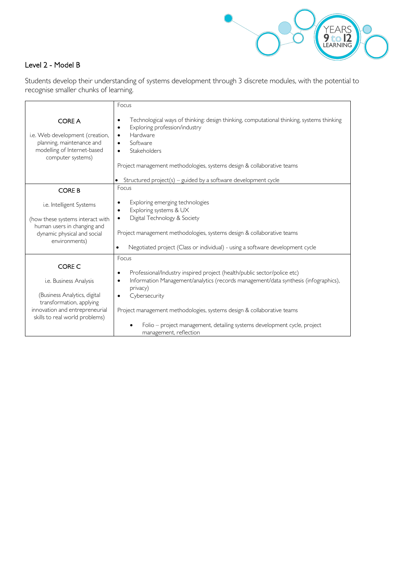

#### Level 2 - Model B

Students develop their understanding of systems development through 3 discrete modules, with the potential to recognise smaller chunks of learning.

|                                                                                                                                                                  | Focus                                                                                                                                                                                                                                                                                                                                                                                                                |  |  |  |
|------------------------------------------------------------------------------------------------------------------------------------------------------------------|----------------------------------------------------------------------------------------------------------------------------------------------------------------------------------------------------------------------------------------------------------------------------------------------------------------------------------------------------------------------------------------------------------------------|--|--|--|
| <b>CORE A</b><br>i.e. Web development (creation,<br>planning, maintenance and<br>modelling of Internet-based<br>computer systems)                                | Technological ways of thinking: design thinking, computational thinking, systems thinking<br>٠<br>Exploring profession/industry<br>$\bullet$<br>Hardware<br>$\bullet$<br>Software<br>$\bullet$<br>Stakeholders<br>$\bullet$<br>Project management methodologies, systems design & collaborative teams                                                                                                                |  |  |  |
|                                                                                                                                                                  | • Structured $project(s) - guided by a software development cycle$                                                                                                                                                                                                                                                                                                                                                   |  |  |  |
| <b>CORE B</b>                                                                                                                                                    | Focus                                                                                                                                                                                                                                                                                                                                                                                                                |  |  |  |
| i.e. Intelligent Systems<br>(how these systems interact with<br>human users in changing and<br>dynamic physical and social<br>environments)                      | Exploring emerging technologies<br>٠<br>Exploring systems & UX<br>$\bullet$<br>Digital Technology & Society<br>$\bullet$<br>Project management methodologies, systems design & collaborative teams<br>Negotiated project (Class or individual) - using a software development cycle<br>$\bullet$                                                                                                                     |  |  |  |
| CORE C<br>i.e. Business Analysis<br>(Business Analytics, digital<br>transformation, applying<br>innovation and entrepreneurial<br>skills to real world problems) | Focus<br>Professional/Industry inspired project (health/public sector/police etc)<br>٠<br>Information Management/analytics (records management/data synthesis (infographics),<br>$\bullet$<br>privacy)<br>Cybersecurity<br>$\bullet$<br>Project management methodologies, systems design & collaborative teams<br>Folio – project management, detailing systems development cycle, project<br>management, reflection |  |  |  |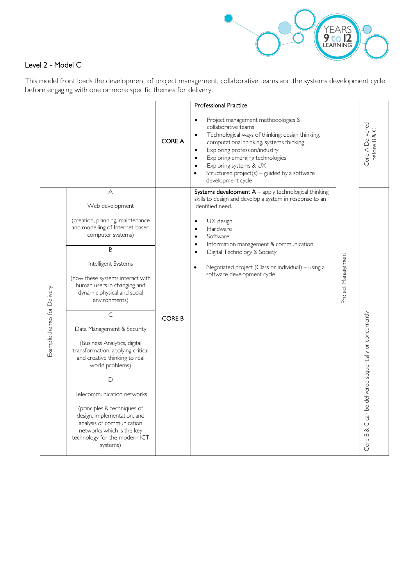

#### Level 2 - Model C

This model front loads the development of project management, collaborative teams and the systems development cycle before engaging with one or more specific themes for delivery.

|                             |                                                                                                                                                                                                                                                                                                                                                                                                                                                                                                                                                                                                                                     |               | Professional Practice                                                                                                                                                                                                                                                                                                                                                                                     |                    |                                                          |
|-----------------------------|-------------------------------------------------------------------------------------------------------------------------------------------------------------------------------------------------------------------------------------------------------------------------------------------------------------------------------------------------------------------------------------------------------------------------------------------------------------------------------------------------------------------------------------------------------------------------------------------------------------------------------------|---------------|-----------------------------------------------------------------------------------------------------------------------------------------------------------------------------------------------------------------------------------------------------------------------------------------------------------------------------------------------------------------------------------------------------------|--------------------|----------------------------------------------------------|
|                             |                                                                                                                                                                                                                                                                                                                                                                                                                                                                                                                                                                                                                                     | <b>CORE A</b> | Project management methodologies &<br>$\bullet$<br>collaborative teams<br>Technological ways of thinking: design thinking,<br>$\bullet$<br>computational thinking, systems thinking<br>Exploring profession/industry<br>$\bullet$<br>Exploring emerging technologies<br>$\bullet$<br>Exploring systems & UX<br>Structured $project(s) - guided by a software$<br>$\bullet$<br>development cycle           |                    | Core A Delivered<br>$\cup$<br>before B &                 |
| Example themes for Delivery | A<br>Web development<br>(creation, planning, maintenance<br>and modelling of Internet-based<br>computer systems)<br>B<br>Intelligent Systems<br>(how these systems interact with<br>human users in changing and<br>dynamic physical and social<br>environments)<br>C<br>Data Management & Security<br>(Business Analytics, digital<br>transformation, applying critical<br>and creative thinking to real<br>world problems)<br>D<br>Telecommunication networks<br>(principles & techniques of<br>design, implementation, and<br>analysis of communication<br>networks which is the key<br>technology for the modern ICT<br>systems) | <b>CORE B</b> | Systems development $A$ – apply technological thinking<br>skills to design and develop a system in response to an<br>identified need.<br>UX design<br>$\bullet$<br>Hardware<br>$\bullet$<br>Software<br>Information management & communication<br>$\bullet$<br>Digital Technology & Society<br>$\bullet$<br>Negotiated project (Class or individual) - using a<br>$\bullet$<br>software development cycle | Project Management | Core B & C can be delivered sequentially or concurrently |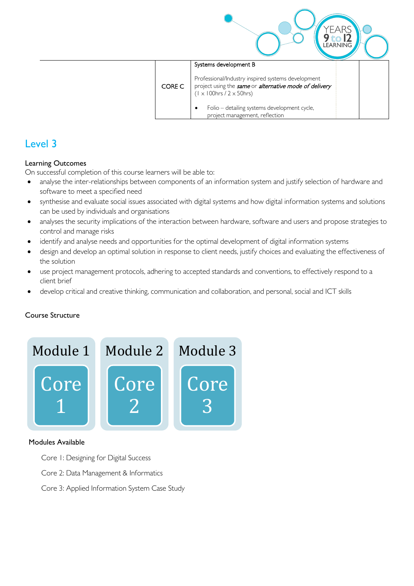|        |                                                                                                                                                         | <b>.EARNING</b> |
|--------|---------------------------------------------------------------------------------------------------------------------------------------------------------|-----------------|
|        | Systems development B                                                                                                                                   |                 |
| CORE C | Professional/Industry inspired systems development<br>project using the same or alternative mode of delivery<br>$(1 \times 100$ hrs / 2 $\times$ 50hrs) |                 |
|        | Folio – detailing systems development cycle,<br>project management, reflection                                                                          |                 |

## Level 3

#### Learning Outcomes

On successful completion of this course learners will be able to:

- analyse the inter-relationships between components of an information system and justify selection of hardware and software to meet a specified need
- synthesise and evaluate social issues associated with digital systems and how digital information systems and solutions can be used by individuals and organisations
- analyses the security implications of the interaction between hardware, software and users and propose strategies to control and manage risks
- identify and analyse needs and opportunities for the optimal development of digital information systems
- design and develop an optimal solution in response to client needs, justify choices and evaluating the effectiveness of the solution
- use project management protocols, adhering to accepted standards and conventions, to effectively respond to a client brief
- develop critical and creative thinking, communication and collaboration, and personal, social and ICT skills

#### Course Structure



#### Modules Available

- Core 1: Designing for Digital Success
- Core 2: Data Management & Informatics
- Core 3: Applied Information System Case Study